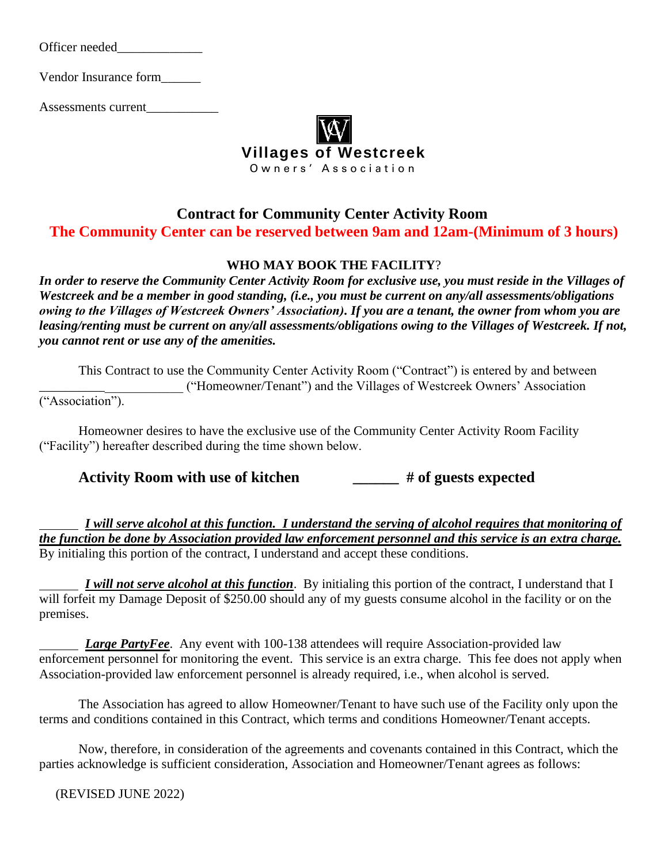Officer needed\_\_\_\_\_\_\_\_\_\_\_\_\_

Vendor Insurance form\_\_\_\_\_\_

Assessments current\_\_\_\_\_\_\_\_\_\_\_



### **Contract for Community Center Activity Room The Community Center can be reserved between 9am and 12am-(Minimum of 3 hours)**

#### **WHO MAY BOOK THE FACILITY**?

*In order to reserve the Community Center Activity Room for exclusive use, you must reside in the Villages of Westcreek and be a member in good standing, (i.e., you must be current on any/all assessments/obligations owing to the Villages of Westcreek Owners' Association). If you are a tenant, the owner from whom you are leasing/renting must be current on any/all assessments/obligations owing to the Villages of Westcreek. If not, you cannot rent or use any of the amenities.*

This Contract to use the Community Center Activity Room ("Contract") is entered by and between \_\_\_\_\_\_\_\_\_\_\_\_\_\_\_\_\_\_\_\_\_\_ ("Homeowner/Tenant") and the Villages of Westcreek Owners' Association ("Association").

Homeowner desires to have the exclusive use of the Community Center Activity Room Facility ("Facility") hereafter described during the time shown below.

**Activity Room with use of kitchen \_\_\_\_\_\_ # of guests expected**

 *I will serve alcohol at this function. I understand the serving of alcohol requires that monitoring of the function be done by Association provided law enforcement personnel and this service is an extra charge.* By initialing this portion of the contract, I understand and accept these conditions.

 *I will not serve alcohol at this function*. By initialing this portion of the contract, I understand that I will forfeit my Damage Deposit of \$250.00 should any of my guests consume alcohol in the facility or on the premises.

*Large PartyFee.* Any event with 100-138 attendees will require Association-provided law enforcement personnel for monitoring the event. This service is an extra charge. This fee does not apply when Association-provided law enforcement personnel is already required, i.e., when alcohol is served.

The Association has agreed to allow Homeowner/Tenant to have such use of the Facility only upon the terms and conditions contained in this Contract, which terms and conditions Homeowner/Tenant accepts.

Now, therefore, in consideration of the agreements and covenants contained in this Contract, which the parties acknowledge is sufficient consideration, Association and Homeowner/Tenant agrees as follows: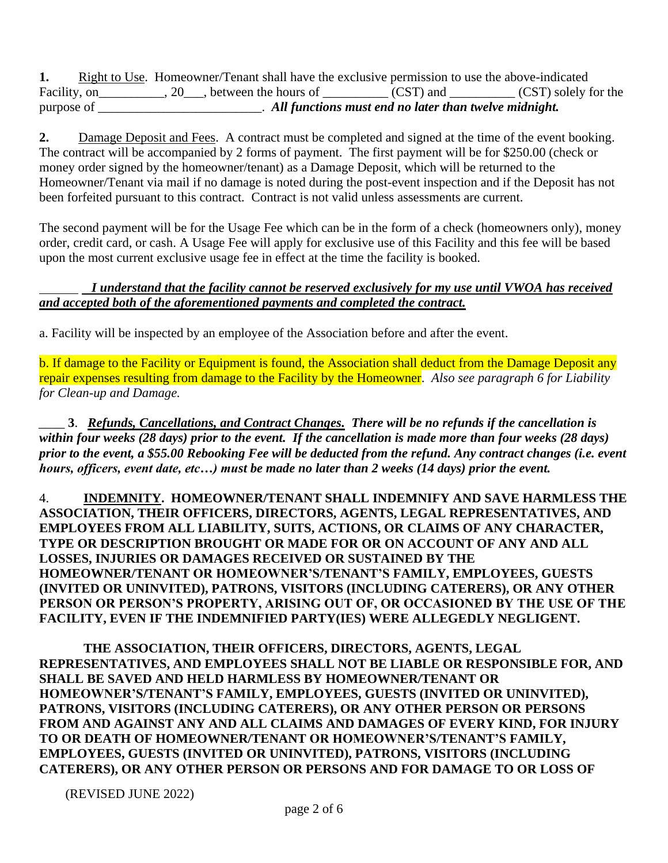**1.** Right to Use. Homeowner/Tenant shall have the exclusive permission to use the above-indicated Facility, on  $\overline{\phantom{a}}$ , 20, between the hours of  $\overline{\phantom{a}}$  (CST) and  $\overline{\phantom{a}}$  (CST) solely for the purpose of \_\_\_\_\_\_\_\_\_\_\_\_\_\_\_\_\_\_\_\_\_\_\_\_\_. *All functions must end no later than twelve midnight.* 

**2.** Damage Deposit and Fees. A contract must be completed and signed at the time of the event booking. The contract will be accompanied by 2 forms of payment. The first payment will be for \$250.00 (check or money order signed by the homeowner/tenant) as a Damage Deposit, which will be returned to the Homeowner/Tenant via mail if no damage is noted during the post-event inspection and if the Deposit has not been forfeited pursuant to this contract*.* Contract is not valid unless assessments are current.

The second payment will be for the Usage Fee which can be in the form of a check (homeowners only), money order, credit card, or cash. A Usage Fee will apply for exclusive use of this Facility and this fee will be based upon the most current exclusive usage fee in effect at the time the facility is booked.

#### *I understand that the facility cannot be reserved exclusively for my use until VWOA has received and accepted both of the aforementioned payments and completed the contract.*

a. Facility will be inspected by an employee of the Association before and after the event.

b. If damage to the Facility or Equipment is found, the Association shall deduct from the Damage Deposit any repair expenses resulting from damage to the Facility by the Homeowner. *Also see paragraph 6 for Liability for Clean-up and Damage.*

 \_\_\_\_ **3**. *Refunds, Cancellations, and Contract Changes. There will be no refunds if the cancellation is within four weeks (28 days) prior to the event. If the cancellation is made more than four weeks (28 days) prior to the event, a \$55.00 Rebooking Fee will be deducted from the refund. Any contract changes (i.e. event hours, officers, event date, etc…) must be made no later than 2 weeks (14 days) prior the event.* 

4. **INDEMNITY. HOMEOWNER/TENANT SHALL INDEMNIFY AND SAVE HARMLESS THE ASSOCIATION, THEIR OFFICERS, DIRECTORS, AGENTS, LEGAL REPRESENTATIVES, AND EMPLOYEES FROM ALL LIABILITY, SUITS, ACTIONS, OR CLAIMS OF ANY CHARACTER, TYPE OR DESCRIPTION BROUGHT OR MADE FOR OR ON ACCOUNT OF ANY AND ALL LOSSES, INJURIES OR DAMAGES RECEIVED OR SUSTAINED BY THE HOMEOWNER/TENANT OR HOMEOWNER'S/TENANT'S FAMILY, EMPLOYEES, GUESTS (INVITED OR UNINVITED), PATRONS, VISITORS (INCLUDING CATERERS), OR ANY OTHER PERSON OR PERSON'S PROPERTY, ARISING OUT OF, OR OCCASIONED BY THE USE OF THE FACILITY, EVEN IF THE INDEMNIFIED PARTY(IES) WERE ALLEGEDLY NEGLIGENT.**

**THE ASSOCIATION, THEIR OFFICERS, DIRECTORS, AGENTS, LEGAL REPRESENTATIVES, AND EMPLOYEES SHALL NOT BE LIABLE OR RESPONSIBLE FOR, AND SHALL BE SAVED AND HELD HARMLESS BY HOMEOWNER/TENANT OR HOMEOWNER'S/TENANT'S FAMILY, EMPLOYEES, GUESTS (INVITED OR UNINVITED), PATRONS, VISITORS (INCLUDING CATERERS), OR ANY OTHER PERSON OR PERSONS FROM AND AGAINST ANY AND ALL CLAIMS AND DAMAGES OF EVERY KIND, FOR INJURY TO OR DEATH OF HOMEOWNER/TENANT OR HOMEOWNER'S/TENANT'S FAMILY, EMPLOYEES, GUESTS (INVITED OR UNINVITED), PATRONS, VISITORS (INCLUDING CATERERS), OR ANY OTHER PERSON OR PERSONS AND FOR DAMAGE TO OR LOSS OF**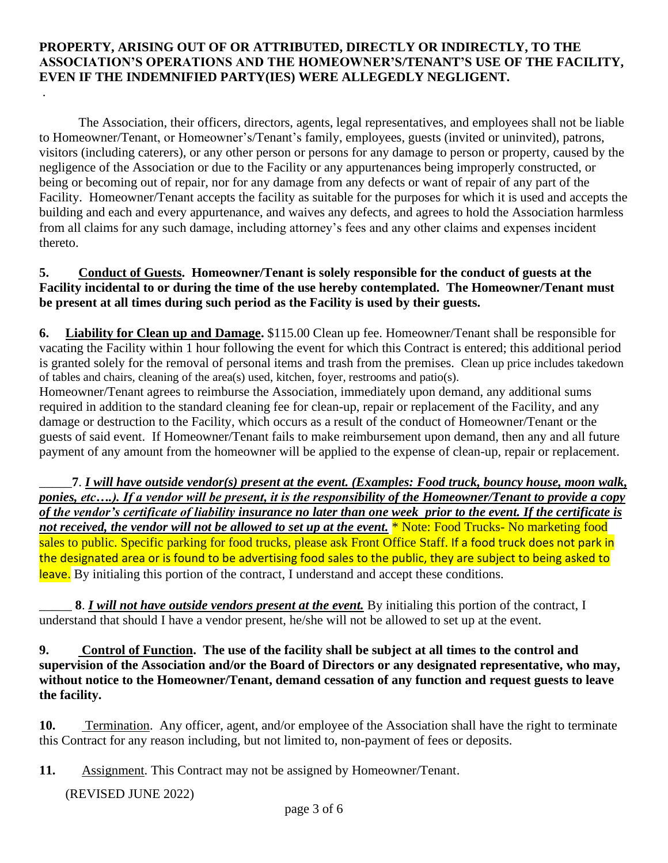#### **PROPERTY, ARISING OUT OF OR ATTRIBUTED, DIRECTLY OR INDIRECTLY, TO THE ASSOCIATION'S OPERATIONS AND THE HOMEOWNER'S/TENANT'S USE OF THE FACILITY, EVEN IF THE INDEMNIFIED PARTY(IES) WERE ALLEGEDLY NEGLIGENT.**

The Association, their officers, directors, agents, legal representatives, and employees shall not be liable to Homeowner/Tenant, or Homeowner's/Tenant's family, employees, guests (invited or uninvited), patrons, visitors (including caterers), or any other person or persons for any damage to person or property, caused by the negligence of the Association or due to the Facility or any appurtenances being improperly constructed, or being or becoming out of repair, nor for any damage from any defects or want of repair of any part of the Facility. Homeowner/Tenant accepts the facility as suitable for the purposes for which it is used and accepts the building and each and every appurtenance, and waives any defects, and agrees to hold the Association harmless from all claims for any such damage, including attorney's fees and any other claims and expenses incident thereto.

#### **5. Conduct of Guests. Homeowner/Tenant is solely responsible for the conduct of guests at the Facility incidental to or during the time of the use hereby contemplated. The Homeowner/Tenant must be present at all times during such period as the Facility is used by their guests.**

**6. Liability for Clean up and Damage.** \$115.00 Clean up fee. Homeowner/Tenant shall be responsible for vacating the Facility within 1 hour following the event for which this Contract is entered; this additional period is granted solely for the removal of personal items and trash from the premises. Clean up price includes takedown of tables and chairs, cleaning of the area(s) used, kitchen, foyer, restrooms and patio(s).

Homeowner/Tenant agrees to reimburse the Association, immediately upon demand, any additional sums required in addition to the standard cleaning fee for clean-up, repair or replacement of the Facility, and any damage or destruction to the Facility, which occurs as a result of the conduct of Homeowner/Tenant or the guests of said event. If Homeowner/Tenant fails to make reimbursement upon demand, then any and all future payment of any amount from the homeowner will be applied to the expense of clean-up, repair or replacement.

\_\_\_\_\_**7**. *I will have outside vendor(s) present at the event. (Examples: Food truck, bouncy house, moon walk, ponies, etc….). If a vendor will be present, it is the responsibility of the Homeowner/Tenant to provide a copy of the vendor's certificate of liability insurance no later than one week prior to the event. If the certificate is*  not received, the vendor will not be allowed to set up at the event. **\*** Note: Food Trucks- No marketing food sales to public. Specific parking for food trucks, please ask Front Office Staff. If a food truck does not park in the designated area or is found to be advertising food sales to the public, they are subject to being asked to leave. By initialing this portion of the contract, I understand and accept these conditions.

8. *I will not have outside vendors present at the event*. By initialing this portion of the contract, I understand that should I have a vendor present, he/she will not be allowed to set up at the event.

**9. Control of Function. The use of the facility shall be subject at all times to the control and supervision of the Association and/or the Board of Directors or any designated representative, who may, without notice to the Homeowner/Tenant, demand cessation of any function and request guests to leave the facility.**

**10.** Termination. Any officer, agent, and/or employee of the Association shall have the right to terminate this Contract for any reason including, but not limited to, non-payment of fees or deposits.

**11.** Assignment. This Contract may not be assigned by Homeowner/Tenant.

(REVISED JUNE 2022)

.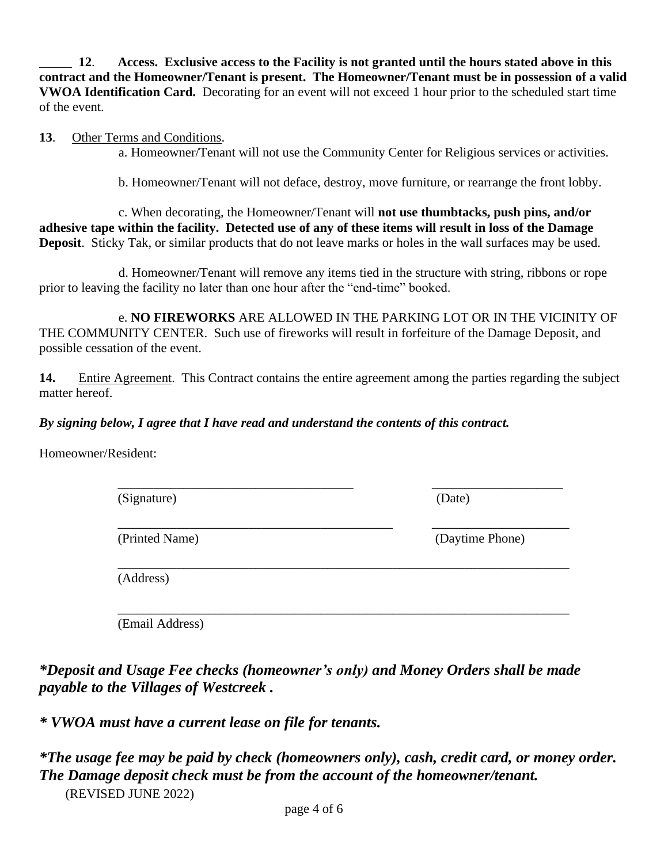\_\_\_\_\_ **12**. **Access. Exclusive access to the Facility is not granted until the hours stated above in this contract and the Homeowner/Tenant is present. The Homeowner/Tenant must be in possession of a valid VWOA Identification Card.** Decorating for an event will not exceed 1 hour prior to the scheduled start time of the event.

#### **13**. Other Terms and Conditions.

a. Homeowner/Tenant will not use the Community Center for Religious services or activities.

b. Homeowner/Tenant will not deface, destroy, move furniture, or rearrange the front lobby.

c. When decorating, the Homeowner/Tenant will **not use thumbtacks, push pins, and/or adhesive tape within the facility. Detected use of any of these items will result in loss of the Damage Deposit**. Sticky Tak, or similar products that do not leave marks or holes in the wall surfaces may be used.

d. Homeowner/Tenant will remove any items tied in the structure with string, ribbons or rope prior to leaving the facility no later than one hour after the "end-time" booked.

e. **NO FIREWORKS** ARE ALLOWED IN THE PARKING LOT OR IN THE VICINITY OF THE COMMUNITY CENTER. Such use of fireworks will result in forfeiture of the Damage Deposit, and possible cessation of the event.

**14.** Entire Agreement. This Contract contains the entire agreement among the parties regarding the subject matter hereof.

#### *By signing below, I agree that I have read and understand the contents of this contract.*

Homeowner/Resident:

| (Signature)    | (Date)          |  |  |
|----------------|-----------------|--|--|
| (Printed Name) | (Daytime Phone) |  |  |

(Address)

\_\_\_\_\_\_\_\_\_\_\_\_\_\_\_\_\_\_\_\_\_\_\_\_\_\_\_\_\_\_\_\_\_\_\_\_\_\_\_\_\_\_\_\_\_\_\_\_\_\_\_\_\_\_\_\_\_\_\_\_\_\_\_\_\_\_\_\_\_ (Email Address)

*\*Deposit and Usage Fee checks (homeowner's only) and Money Orders shall be made payable to the Villages of Westcreek .*

*\* VWOA must have a current lease on file for tenants.* 

| *The usage fee may be paid by check (homeowners only), cash, credit card, or money order. |
|-------------------------------------------------------------------------------------------|
| The Damage deposit check must be from the account of the homeowner/tenant.                |
| (REVISED JUNE 2022)                                                                       |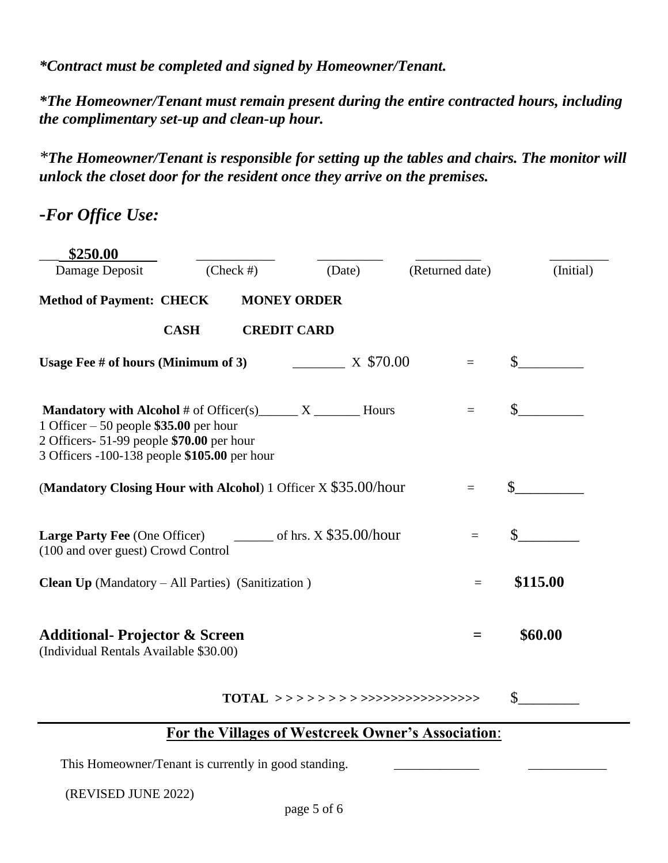*\*Contract must be completed and signed by Homeowner/Tenant.* 

*\*The Homeowner/Tenant must remain present during the entire contracted hours, including the complimentary set-up and clean-up hour.* 

*\*The Homeowner/Tenant is responsible for setting up the tables and chairs. The monitor will unlock the closet door for the resident once they arrive on the premises.* 

**-***For Office Use:*

| \$250.00                                                                                                                                                                                                |              |                    |        |           |                               |              |           |
|---------------------------------------------------------------------------------------------------------------------------------------------------------------------------------------------------------|--------------|--------------------|--------|-----------|-------------------------------|--------------|-----------|
| Damage Deposit                                                                                                                                                                                          | $(Check \#)$ |                    | (Date) |           | (Returned date)               |              | (Initial) |
| <b>Method of Payment: CHECK</b>                                                                                                                                                                         |              | <b>MONEY ORDER</b> |        |           |                               |              |           |
|                                                                                                                                                                                                         | <b>CASH</b>  | <b>CREDIT CARD</b> |        |           |                               |              |           |
| Usage Fee # of hours (Minimum of 3)                                                                                                                                                                     |              |                    |        | X \$70.00 | $=$                           | $\mathbb{S}$ |           |
| <b>Mandatory with Alcohol</b> # of Officer(s) $X_1$ $X_2$ Hours<br>1 Officer $-50$ people \$35.00 per hour<br>2 Officers- 51-99 people \$70.00 per hour<br>3 Officers -100-138 people \$105.00 per hour |              |                    |        |           | $\equiv$                      | $\mathbb{S}$ |           |
| (Mandatory Closing Hour with Alcohol) 1 Officer X \$35.00/hour                                                                                                                                          |              |                    |        |           | $\mathbb{S}$                  |              |           |
| $\frac{1}{2}$ of hrs. X \$35.00/hour<br><b>Large Party Fee (One Officer)</b><br>$=$<br>(100 and over guest) Crowd Control                                                                               |              |                    |        |           | $\mathbb{S}$                  |              |           |
| <b>Clean Up</b> (Mandatory $-$ All Parties) (Sanitization)                                                                                                                                              |              |                    |        |           | $=$                           | \$115.00     |           |
| <b>Additional- Projector &amp; Screen</b><br>(Individual Rentals Available \$30.00)                                                                                                                     |              |                    |        |           | $=$                           | \$60.00      |           |
|                                                                                                                                                                                                         |              |                    |        |           | TOTAL >> >> >> >> >> >> >> >> | \$           |           |

### **For the Villages of Westcreek Owner's Association**:

This Homeowner/Tenant is currently in good standing.